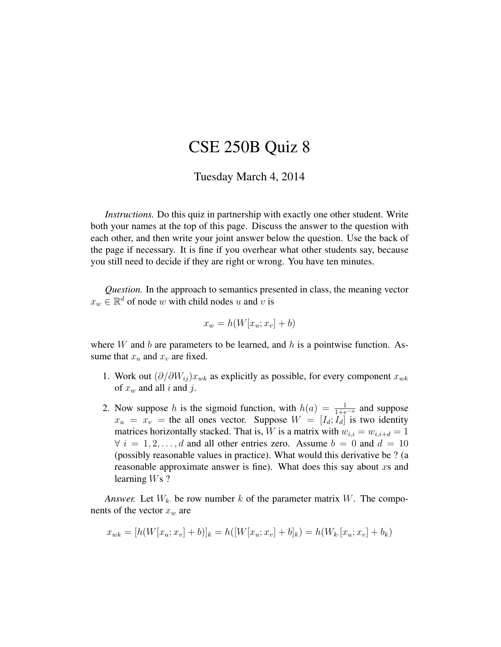## CSE 250B Quiz 8

## Tuesday March 4, 2014

*Instructions.* Do this quiz in partnership with exactly one other student. Write both your names at the top of this page. Discuss the answer to the question with each other, and then write your joint answer below the question. Use the back of the page if necessary. It is fine if you overhear what other students say, because you still need to decide if they are right or wrong. You have ten minutes.

*Question.* In the approach to semantics presented in class, the meaning vector  $x_w \in \mathbb{R}^d$  of node w with child nodes u and v is

$$
x_w = h(W[x_u; x_v] + b)
$$

where W and b are parameters to be learned, and h is a pointwise function. Assume that  $x_u$  and  $x_v$  are fixed.

- 1. Work out  $(\partial/\partial W_{ij})x_{wk}$  as explicitly as possible, for every component  $x_{wk}$ of  $x_w$  and all i and j.
- 2. Now suppose h is the sigmoid function, with  $h(a) = \frac{1}{1 + e^{-a}}$  and suppose  $x_u = x_v$  = the all ones vector. Suppose  $W = [I_d; I_d]$  is two identity matrices horizontally stacked. That is, W is a matrix with  $w_{i,i} = w_{i,i+d} = 1$  $\forall i = 1, 2, \dots, d$  and all other entries zero. Assume  $b = 0$  and  $d = 10$ (possibly reasonable values in practice). What would this derivative be ? (a reasonable approximate answer is fine). What does this say about  $xs$  and learning  $Ws$  ?

*Answer.* Let  $W_k$  be row number k of the parameter matrix W. The components of the vector  $x_w$  are

$$
x_{wk} = [h(W[x_u; x_v] + b)]_k = h([W[x_u; x_v] + b]_k) = h(W_k[x_u; x_v] + b_k)
$$